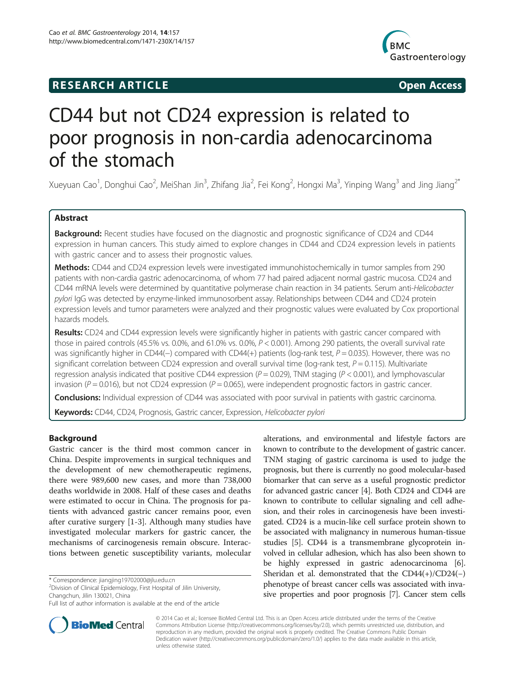# **RESEARCH ARTICLE Example 2014 The SEAR CH ACCESS**



# CD44 but not CD24 expression is related to poor prognosis in non-cardia adenocarcinoma of the stomach

Xueyuan Cao<sup>1</sup>, Donghui Cao<sup>2</sup>, MeiShan Jin<sup>3</sup>, Zhifang Jia<sup>2</sup>, Fei Kong<sup>2</sup>, Hongxi Ma<sup>3</sup>, Yinping Wang<sup>3</sup> and Jing Jiang<sup>2\*</sup>

# Abstract

Background: Recent studies have focused on the diagnostic and prognostic significance of CD24 and CD44 expression in human cancers. This study aimed to explore changes in CD44 and CD24 expression levels in patients with gastric cancer and to assess their prognostic values.

Methods: CD44 and CD24 expression levels were investigated immunohistochemically in tumor samples from 290 patients with non-cardia gastric adenocarcinoma, of whom 77 had paired adjacent normal gastric mucosa. CD24 and CD44 mRNA levels were determined by quantitative polymerase chain reaction in 34 patients. Serum anti-Helicobacter pylori IgG was detected by enzyme-linked immunosorbent assay. Relationships between CD44 and CD24 protein expression levels and tumor parameters were analyzed and their prognostic values were evaluated by Cox proportional hazards models.

Results: CD24 and CD44 expression levels were significantly higher in patients with gastric cancer compared with those in paired controls (45.5% vs. 0.0%, and 61.0% vs. 0.0%, P < 0.001). Among 290 patients, the overall survival rate was significantly higher in CD44(−) compared with CD44(+) patients (log-rank test,  $P = 0.035$ ). However, there was no significant correlation between CD24 expression and overall survival time (log-rank test,  $P = 0.115$ ). Multivariate regression analysis indicated that positive CD44 expression ( $P = 0.029$ ), TNM staging ( $P < 0.001$ ), and lymphovascular invasion ( $P = 0.016$ ), but not CD24 expression ( $P = 0.065$ ), were independent prognostic factors in gastric cancer.

Conclusions: Individual expression of CD44 was associated with poor survival in patients with gastric carcinoma.

Keywords: CD44, CD24, Prognosis, Gastric cancer, Expression, Helicobacter pylori

## Background

Gastric cancer is the third most common cancer in China. Despite improvements in surgical techniques and the development of new chemotherapeutic regimens, there were 989,600 new cases, and more than 738,000 deaths worldwide in 2008. Half of these cases and deaths were estimated to occur in China. The prognosis for patients with advanced gastric cancer remains poor, even after curative surgery [[1-3](#page-6-0)]. Although many studies have investigated molecular markers for gastric cancer, the mechanisms of carcinogenesis remain obscure. Interactions between genetic susceptibility variants, molecular

<sup>2</sup> Division of Clinical Epidemiology, First Hospital of Jilin University, Changchun, Jilin 130021, China

alterations, and environmental and lifestyle factors are known to contribute to the development of gastric cancer. TNM staging of gastric carcinoma is used to judge the prognosis, but there is currently no good molecular-based biomarker that can serve as a useful prognostic predictor for advanced gastric cancer [[4\]](#page-6-0). Both CD24 and CD44 are known to contribute to cellular signaling and cell adhesion, and their roles in carcinogenesis have been investigated. CD24 is a mucin-like cell surface protein shown to be associated with malignancy in numerous human-tissue studies [\[5](#page-6-0)]. CD44 is a transmembrane glycoprotein involved in cellular adhesion, which has also been shown to be highly expressed in gastric adenocarcinoma [[6](#page-6-0)]. Sheridan et al. demonstrated that the  $CD44(+)/CD24(-)$ phenotype of breast cancer cells was associated with invasive properties and poor prognosis [\[7\]](#page-6-0). Cancer stem cells



© 2014 Cao et al.; licensee BioMed Central Ltd. This is an Open Access article distributed under the terms of the Creative Commons Attribution License [\(http://creativecommons.org/licenses/by/2.0\)](http://creativecommons.org/licenses/by/2.0), which permits unrestricted use, distribution, and reproduction in any medium, provided the original work is properly credited. The Creative Commons Public Domain Dedication waiver [\(http://creativecommons.org/publicdomain/zero/1.0/](http://creativecommons.org/publicdomain/zero/1.0/)) applies to the data made available in this article, unless otherwise stated.

<sup>\*</sup> Correspondence: [jiangjing19702000@jlu.edu.cn](mailto:jiangjing19702000@jlu.edu.cn) <sup>2</sup>

Full list of author information is available at the end of the article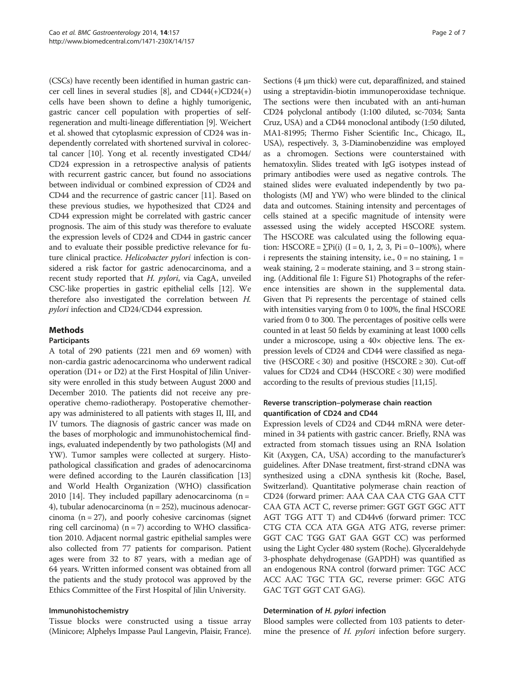(CSCs) have recently been identified in human gastric cancer cell lines in several studies [\[8](#page-6-0)], and CD44(+)CD24(+) cells have been shown to define a highly tumorigenic, gastric cancer cell population with properties of selfregeneration and multi-lineage differentiation [\[9](#page-6-0)]. Weichert et al. showed that cytoplasmic expression of CD24 was independently correlated with shortened survival in colorectal cancer [\[10\]](#page-6-0). Yong et al. recently investigated CD44/ CD24 expression in a retrospective analysis of patients with recurrent gastric cancer, but found no associations between individual or combined expression of CD24 and CD44 and the recurrence of gastric cancer [[11](#page-6-0)]. Based on these previous studies, we hypothesized that CD24 and CD44 expression might be correlated with gastric cancer prognosis. The aim of this study was therefore to evaluate the expression levels of CD24 and CD44 in gastric cancer and to evaluate their possible predictive relevance for future clinical practice. Helicobacter pylori infection is considered a risk factor for gastric adenocarcinoma, and a recent study reported that H. pylori, via CagA, unveiled CSC-like properties in gastric epithelial cells [\[12\]](#page-6-0). We therefore also investigated the correlation between H. pylori infection and CD24/CD44 expression.

# Methods

#### Participants

A total of 290 patients (221 men and 69 women) with non-cardia gastric adenocarcinoma who underwent radical operation (D1+ or D2) at the First Hospital of Jilin University were enrolled in this study between August 2000 and December 2010. The patients did not receive any preoperative chemo-radiotherapy. Postoperative chemotherapy was administered to all patients with stages II, III, and IV tumors. The diagnosis of gastric cancer was made on the bases of morphologic and immunohistochemical findings, evaluated independently by two pathologists (MJ and YW). Tumor samples were collected at surgery. Histopathological classification and grades of adenocarcinoma were defined according to the Laurén classification [[13](#page-6-0)] and World Health Organization (WHO) classification 2010 [\[14\]](#page-6-0). They included papillary adenocarcinoma  $(n =$ 4), tubular adenocarcinoma (n = 252), mucinous adenocarcinoma  $(n = 27)$ , and poorly cohesive carcinomas (signet ring cell carcinoma)  $(n = 7)$  according to WHO classification 2010. Adjacent normal gastric epithelial samples were also collected from 77 patients for comparison. Patient ages were from 32 to 87 years, with a median age of 64 years. Written informed consent was obtained from all the patients and the study protocol was approved by the Ethics Committee of the First Hospital of Jilin University.

## Immunohistochemistry

Tissue blocks were constructed using a tissue array (Minicore; Alphelys Impasse Paul Langevin, Plaisir, France).

Sections (4 μm thick) were cut, deparaffinized, and stained using a streptavidin-biotin immunoperoxidase technique. The sections were then incubated with an anti-human CD24 polyclonal antibody (1:100 diluted, sc-7034; Santa Cruz, USA) and a CD44 monoclonal antibody (1:50 diluted, MA1-81995; Thermo Fisher Scientific Inc., Chicago, IL, USA), respectively. 3, 3-Diaminobenzidine was employed as a chromogen. Sections were counterstained with hematoxylin. Slides treated with IgG isotypes instead of primary antibodies were used as negative controls. The stained slides were evaluated independently by two pathologists (MJ and YW) who were blinded to the clinical data and outcomes. Staining intensity and percentages of cells stained at a specific magnitude of intensity were assessed using the widely accepted HSCORE system. The HSCORE was calculated using the following equation: HSCORE =  $\Sigma$ Pi(i) (I = 0, 1, 2, 3, Pi = 0–100%), where i represents the staining intensity, i.e.,  $0 = no$  staining,  $1 =$ weak staining,  $2 =$  moderate staining, and  $3 =$  strong staining. (Additional file [1](#page-5-0): Figure S1) Photographs of the reference intensities are shown in the supplemental data. Given that Pi represents the percentage of stained cells with intensities varying from 0 to 100%, the final HSCORE varied from 0 to 300. The percentages of positive cells were counted in at least 50 fields by examining at least 1000 cells under a microscope, using a 40× objective lens. The expression levels of CD24 and CD44 were classified as negative (HSCORE < 30) and positive (HSCORE  $\geq$  30). Cut-off values for CD24 and CD44 (HSCORE < 30) were modified according to the results of previous studies [\[11,15](#page-6-0)].

# Reverse transcription–polymerase chain reaction quantification of CD24 and CD44

Expression levels of CD24 and CD44 mRNA were determined in 34 patients with gastric cancer. Briefly, RNA was extracted from stomach tissues using an RNA Isolation Kit (Axygen, CA, USA) according to the manufacturer's guidelines. After DNase treatment, first-strand cDNA was synthesized using a cDNA synthesis kit (Roche, Basel, Switzerland). Quantitative polymerase chain reaction of CD24 (forward primer: AAA CAA CAA CTG GAA CTT CAA GTA ACT C, reverse primer: GGT GGT GGC ATT AGT TGG ATT T) and CD44v6 (forward primer: TCC CTG CTA CCA ATA GGA ATG ATG, reverse primer: GGT CAC TGG GAT GAA GGT CC) was performed using the Light Cycler 480 system (Roche). Glyceraldehyde 3-phosphate dehydrogenase (GAPDH) was quantified as an endogenous RNA control (forward primer: TGC ACC ACC AAC TGC TTA GC, reverse primer: GGC ATG GAC TGT GGT CAT GAG).

## Determination of H. pylori infection

Blood samples were collected from 103 patients to determine the presence of *H. pylori* infection before surgery.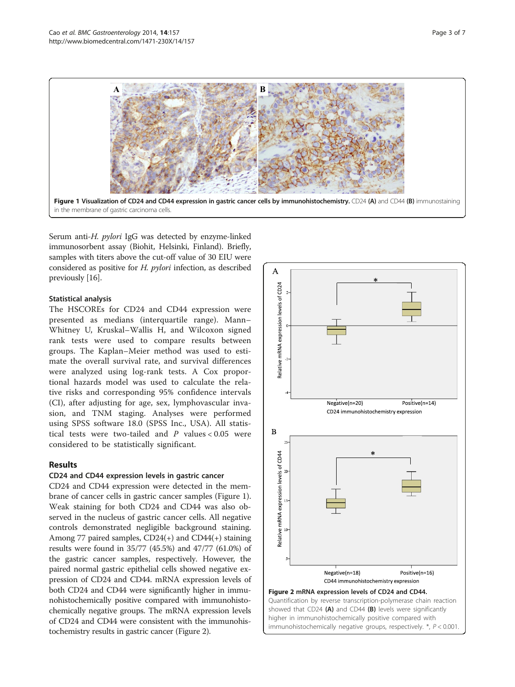

Serum anti-H. pylori IgG was detected by enzyme-linked immunosorbent assay (Biohit, Helsinki, Finland). Briefly, samples with titers above the cut-off value of 30 EIU were considered as positive for H. pylori infection, as described previously [\[16\]](#page-6-0).

## Statistical analysis

The HSCOREs for CD24 and CD44 expression were presented as medians (interquartile range). Mann– Whitney U, Kruskal–Wallis H, and Wilcoxon signed rank tests were used to compare results between groups. The Kaplan–Meier method was used to estimate the overall survival rate, and survival differences were analyzed using log-rank tests. A Cox proportional hazards model was used to calculate the relative risks and corresponding 95% confidence intervals (CI), after adjusting for age, sex, lymphovascular invasion, and TNM staging. Analyses were performed using SPSS software 18.0 (SPSS Inc., USA). All statistical tests were two-tailed and  $P$  values < 0.05 were considered to be statistically significant.

# Results

## CD24 and CD44 expression levels in gastric cancer

CD24 and CD44 expression were detected in the membrane of cancer cells in gastric cancer samples (Figure 1). Weak staining for both CD24 and CD44 was also observed in the nucleus of gastric cancer cells. All negative controls demonstrated negligible background staining. Among 77 paired samples, CD24(+) and CD44(+) staining results were found in 35/77 (45.5%) and 47/77 (61.0%) of the gastric cancer samples, respectively. However, the paired normal gastric epithelial cells showed negative expression of CD24 and CD44. mRNA expression levels of both CD24 and CD44 were significantly higher in immunohistochemically positive compared with immunohistochemically negative groups. The mRNA expression levels of CD24 and CD44 were consistent with the immunohistochemistry results in gastric cancer (Figure 2).

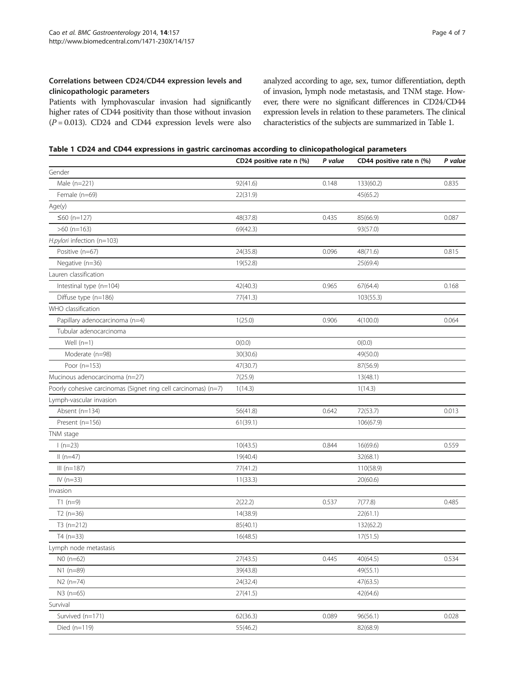# Correlations between CD24/CD44 expression levels and clinicopathologic parameters

Patients with lymphovascular invasion had significantly higher rates of CD44 positivity than those without invasion  $(P = 0.013)$ . CD24 and CD44 expression levels were also

analyzed according to age, sex, tumor differentiation, depth of invasion, lymph node metastasis, and TNM stage. However, there were no significant differences in CD24/CD44 expression levels in relation to these parameters. The clinical characteristics of the subjects are summarized in Table 1.

Table 1 CD24 and CD44 expressions in gastric carcinomas according to clinicopathological parameters

|                                                                | CD24 positive rate n (%) | P value | CD44 positive rate n (%) | P value |
|----------------------------------------------------------------|--------------------------|---------|--------------------------|---------|
| Gender                                                         |                          |         |                          |         |
| Male (n=221)                                                   | 92(41.6)                 | 0.148   | 133(60.2)                | 0.835   |
| Female (n=69)                                                  | 22(31.9)                 |         | 45(65.2)                 |         |
| Age(y)                                                         |                          |         |                          |         |
| $≤60$ (n=127)                                                  | 48(37.8)                 | 0.435   | 85(66.9)                 | 0.087   |
| $>60$ (n=163)                                                  | 69(42.3)                 |         | 93(57.0)                 |         |
| H.pylori infection (n=103)                                     |                          |         |                          |         |
| Positive (n=67)                                                | 24(35.8)                 | 0.096   | 48(71.6)                 | 0.815   |
| Negative (n=36)                                                | 19(52.8)                 |         | 25(69.4)                 |         |
| Lauren classification                                          |                          |         |                          |         |
| Intestinal type (n=104)                                        | 42(40.3)                 | 0.965   | 67(64.4)                 | 0.168   |
| Diffuse type (n=186)                                           | 77(41.3)                 |         | 103(55.3)                |         |
| WHO classification                                             |                          |         |                          |         |
| Papillary adenocarcinoma (n=4)                                 | 1(25.0)                  | 0.906   | 4(100.0)                 | 0.064   |
| Tubular adenocarcinoma                                         |                          |         |                          |         |
| Well $(n=1)$                                                   | O(0.0)                   |         | O(0.0)                   |         |
| Moderate (n=98)                                                | 30(30.6)                 |         | 49(50.0)                 |         |
| Poor (n=153)                                                   | 47(30.7)                 |         | 87(56.9)                 |         |
| Mucinous adenocarcinoma (n=27)                                 | 7(25.9)                  |         | 13(48.1)                 |         |
| Poorly cohesive carcinomas (Signet ring cell carcinomas) (n=7) | 1(14.3)                  |         | 1(14.3)                  |         |
| Lymph-vascular invasion                                        |                          |         |                          |         |
| Absent (n=134)                                                 | 56(41.8)                 | 0.642   | 72(53.7)                 | 0.013   |
| Present (n=156)                                                | 61(39.1)                 |         | 106(67.9)                |         |
| TNM stage                                                      |                          |         |                          |         |
| $1(n=23)$                                                      | 10(43.5)                 | 0.844   | 16(69.6)                 | 0.559   |
| $II(n=47)$                                                     | 19(40.4)                 |         | 32(68.1)                 |         |
| $III (n=187)$                                                  | 77(41.2)                 |         | 110(58.9)                |         |
| $IV (n=33)$                                                    | 11(33.3)                 |         | 20(60.6)                 |         |
| Invasion                                                       |                          |         |                          |         |
| $T1$ (n=9)                                                     | 2(22.2)                  | 0.537   | 7(77.8)                  | 0.485   |
| $T2(n=36)$                                                     | 14(38.9)                 |         | 22(61.1)                 |         |
| $T3(n=212)$                                                    | 85(40.1)                 |         | 132(62.2)                |         |
| $T4(n=33)$                                                     | 16(48.5)                 |         | 17(51.5)                 |         |
| Lymph node metastasis                                          |                          |         |                          |         |
| $NO (n=62)$                                                    | 27(43.5)                 | 0.445   | 40(64.5)                 | 0.534   |
| $N1$ (n=89)                                                    | 39(43.8)                 |         | 49(55.1)                 |         |
| $N2$ (n=74)                                                    | 24(32.4)                 |         | 47(63.5)                 |         |
| $N3$ (n=65)                                                    | 27(41.5)                 |         | 42(64.6)                 |         |
| Survival                                                       |                          |         |                          |         |
| Survived (n=171)                                               | 62(36.3)                 | 0.089   | 96(56.1)                 | 0.028   |
| Died $(n=119)$                                                 | 55(46.2)                 |         | 82(68.9)                 |         |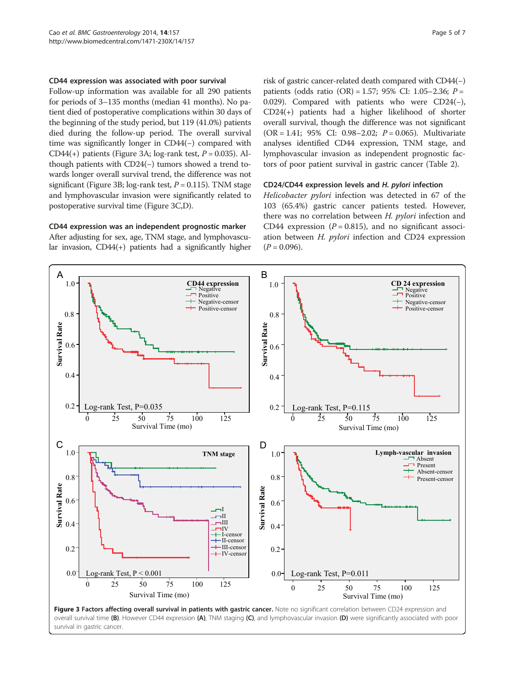#### CD44 expression was associated with poor survival

Follow-up information was available for all 290 patients for periods of 3–135 months (median 41 months). No patient died of postoperative complications within 30 days of the beginning of the study period, but 119 (41.0%) patients died during the follow-up period. The overall survival time was significantly longer in CD44(−) compared with CD44(+) patients (Figure 3A; log-rank test,  $P = 0.035$ ). Although patients with CD24(−) tumors showed a trend towards longer overall survival trend, the difference was not significant (Figure 3B; log-rank test,  $P = 0.115$ ). TNM stage and lymphovascular invasion were significantly related to postoperative survival time (Figure 3C,D).

#### CD44 expression was an independent prognostic marker

After adjusting for sex, age, TNM stage, and lymphovascular invasion, CD44(+) patients had a significantly higher

risk of gastric cancer-related death compared with CD44(−) patients (odds ratio  $(OR) = 1.57$ ; 95% CI: 1.05–2.36;  $P =$ 0.029). Compared with patients who were CD24(−), CD24(+) patients had a higher likelihood of shorter overall survival, though the difference was not significant  $(OR = 1.41; 95\% \text{ CI: } 0.98-2.02; P = 0.065)$ . Multivariate analyses identified CD44 expression, TNM stage, and lymphovascular invasion as independent prognostic factors of poor patient survival in gastric cancer (Table [2](#page-5-0)).

#### CD24/CD44 expression levels and H. pylori infection

Helicobacter pylori infection was detected in 67 of the 103 (65.4%) gastric cancer patients tested. However, there was no correlation between H. pylori infection and CD44 expression ( $P = 0.815$ ), and no significant association between H. pylori infection and CD24 expression  $(P = 0.096)$ .



survival in gastric cancer.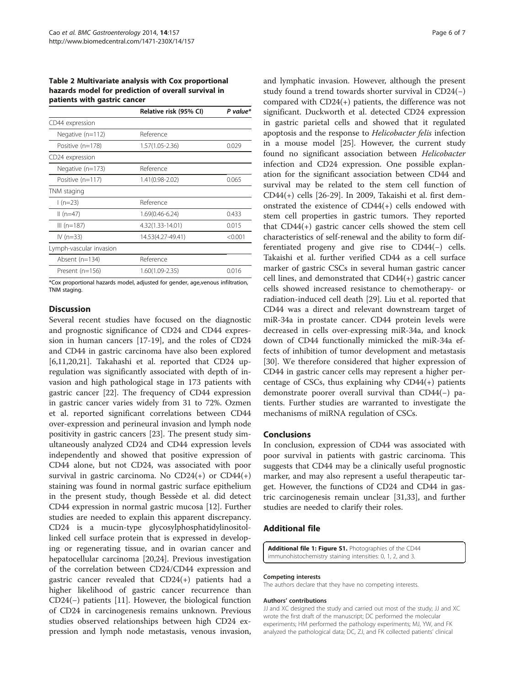<span id="page-5-0"></span>Table 2 Multivariate analysis with Cox proportional hazards model for prediction of overall survival in patients with gastric cancer

|                         | Relative risk (95% CI) | P value* |
|-------------------------|------------------------|----------|
| CD44 expression         |                        |          |
| Negative $(n=112)$      | Reference              |          |
| Positive (n=178)        | $1.57(1.05 - 2.36)$    | 0.029    |
| CD24 expression         |                        |          |
| Negative (n=173)        | Reference              |          |
| Positive (n=117)        | 1.41(0.98-2.02)        | 0.065    |
| TNM staging             |                        |          |
| $1(n=23)$               | Reference              |          |
| $II(n=47)$              | 1.69(0.46-6.24)        | 0.433    |
| $III (n=187)$           | 4.32(1.33-14.01)       | 0.015    |
| IV ( $n=33$ )           | 14.53(4.27-49.41)      | < 0.001  |
| Lymph-vascular invasion |                        |          |
| Absent $(n=134)$        | Reference              |          |
| Present (n=156)         | 1.60(1.09-2.35)        | 0.016    |

\*Cox proportional hazards model, adjusted for gender, age,venous infiltration, TNM staging.

## **Discussion**

Several recent studies have focused on the diagnostic and prognostic significance of CD24 and CD44 expression in human cancers [\[17](#page-6-0)-[19](#page-6-0)], and the roles of CD24 and CD44 in gastric carcinoma have also been explored [[6,11,20,21\]](#page-6-0). Takahashi et al. reported that CD24 upregulation was significantly associated with depth of invasion and high pathological stage in 173 patients with gastric cancer [\[22](#page-6-0)]. The frequency of CD44 expression in gastric cancer varies widely from 31 to 72%. Ozmen et al. reported significant correlations between CD44 over-expression and perineural invasion and lymph node positivity in gastric cancers [[23](#page-6-0)]. The present study simultaneously analyzed CD24 and CD44 expression levels independently and showed that positive expression of CD44 alone, but not CD24, was associated with poor survival in gastric carcinoma. No CD24(+) or CD44(+) staining was found in normal gastric surface epithelium in the present study, though Bessède et al. did detect CD44 expression in normal gastric mucosa [\[12](#page-6-0)]. Further studies are needed to explain this apparent discrepancy. CD24 is a mucin-type glycosylphosphatidylinositollinked cell surface protein that is expressed in developing or regenerating tissue, and in ovarian cancer and hepatocellular carcinoma [\[20,24](#page-6-0)]. Previous investigation of the correlation between CD24/CD44 expression and gastric cancer revealed that CD24(+) patients had a higher likelihood of gastric cancer recurrence than CD24(−) patients [[11](#page-6-0)]. However, the biological function of CD24 in carcinogenesis remains unknown. Previous studies observed relationships between high CD24 expression and lymph node metastasis, venous invasion, and lymphatic invasion. However, although the present study found a trend towards shorter survival in CD24(−) compared with CD24(+) patients, the difference was not significant. Duckworth et al. detected CD24 expression in gastric parietal cells and showed that it regulated apoptosis and the response to Helicobacter felis infection in a mouse model [\[25](#page-6-0)]. However, the current study found no significant association between Helicobacter infection and CD24 expression. One possible explanation for the significant association between CD44 and survival may be related to the stem cell function of CD44(+) cells [\[26](#page-6-0)-[29](#page-6-0)]. In 2009, Takaishi et al. first demonstrated the existence of CD44(+) cells endowed with stem cell properties in gastric tumors. They reported that CD44(+) gastric cancer cells showed the stem cell characteristics of self-renewal and the ability to form differentiated progeny and give rise to CD44(−) cells. Takaishi et al. further verified CD44 as a cell surface marker of gastric CSCs in several human gastric cancer cell lines, and demonstrated that CD44(+) gastric cancer cells showed increased resistance to chemotherapy- or radiation-induced cell death [[29](#page-6-0)]. Liu et al. reported that CD44 was a direct and relevant downstream target of miR-34a in prostate cancer. CD44 protein levels were decreased in cells over-expressing miR-34a, and knock down of CD44 functionally mimicked the miR-34a effects of inhibition of tumor development and metastasis [30]. We therefore considered that higher expression of CD44 in gastric cancer cells may represent a higher percentage of CSCs, thus explaining why  $CD44(+)$  patients demonstrate poorer overall survival than CD44(−) patients. Further studies are warranted to investigate the mechanisms of miRNA regulation of CSCs.

#### Conclusions

In conclusion, expression of CD44 was associated with poor survival in patients with gastric carcinoma. This suggests that CD44 may be a clinically useful prognostic marker, and may also represent a useful therapeutic target. However, the functions of CD24 and CD44 in gastric carcinogenesis remain unclear [[31,33](#page-6-0)], and further studies are needed to clarify their roles.

## Additional file

[Additional file 1: Figure S1.](http://www.biomedcentral.com/content/supplementary/1471-230X-14-157-S1.pptx) Photographies of the CD44 immunohistochemistry staining intensities: 0, 1, 2, and 3.

#### Competing interests

The authors declare that they have no competing interests.

#### Authors' contributions

JJ and XC designed the study and carried out most of the study; JJ and XC wrote the first draft of the manuscript; DC performed the molecular experiments; HM performed the pathology experiments; MJ, YW, and FK analyzed the pathological data; DC, ZJ, and FK collected patients' clinical